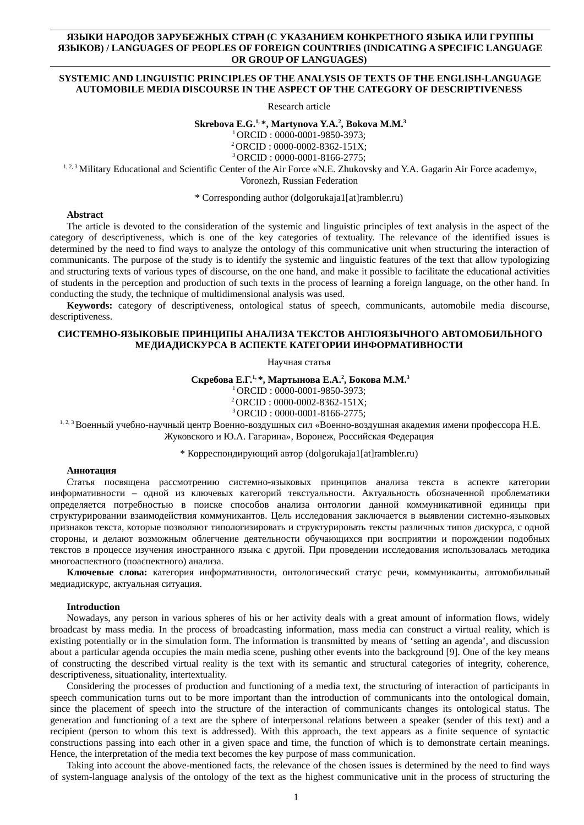## **ЯЗЫКИ НАРОДОВ ЗАРУБЕЖНЫХ СТРАН (С УКАЗАНИЕМ КОНКРЕТНОГО ЯЗЫКА ИЛИ ГРУППЫ ЯЗЫКОВ) / LANGUAGES OF PEOPLES OF FOREIGN COUNTRIES (INDICATING A SPECIFIC LANGUAGE OR GROUP OF LANGUAGES)**

## **SYSTEMIC AND LINGUISTIC PRINCIPLES OF THE ANALYSIS OF TEXTS OF THE ENGLISH-LANGUAGE AUTOMOBILE MEDIA DISCOURSE IN THE ASPECT OF THE CATEGORY OF DESCRIPTIVENESS**

Research article

**Skrebova E.G.1, \*, Martynova Y.A.<sup>2</sup> , Bokova M.M.<sup>3</sup>**

<sup>1</sup>ORCID : 0000-0001-9850-3973;

<sup>2</sup>ORCID : 0000-0002-8362-151X; <sup>3</sup>ORCID : 0000-0001-8166-2775;

1, 2, 3 Military Educational and Scientific Center of the Air Force «N.E. Zhukovsky and Y.A. Gagarin Air Force academy», Voronezh, Russian Federation

\* Corresponding author (dolgorukaja1[at]rambler.ru)

#### **Abstract**

The article is devoted to the consideration of the systemic and linguistic principles of text analysis in the aspect of the category of descriptiveness, which is one of the key categories of textuality. The relevance of the identified issues is determined by the need to find ways to analyze the ontology of this communicative unit when structuring the interaction of communicants. The purpose of the study is to identify the systemic and linguistic features of the text that allow typologizing and structuring texts of various types of discourse, on the one hand, and make it possible to facilitate the educational activities of students in the perception and production of such texts in the process of learning a foreign language, on the other hand. In conducting the study, the technique of multidimensional analysis was used.

**Keywords:** category of descriptiveness, ontological status of speech, communicants, automobile media discourse, descriptiveness.

#### **СИСТЕМНО-ЯЗЫКОВЫЕ ПРИНЦИПЫ АНАЛИЗА ТЕКСТОВ АНГЛОЯЗЫЧНОГО АВТОМОБИЛЬНОГО МЕДИАДИСКУРСА В АСПЕКТЕ КАТЕГОРИИ ИНФОРМАТИВНОСТИ**

Научная статья

**Скребова Е.Г.1, \*, Мартынова Е.А.<sup>2</sup> , Бокова М.М.<sup>3</sup>**

<sup>1</sup>ORCID : 0000-0001-9850-3973;

<sup>2</sup>ORCID : 0000-0002-8362-151X;

<sup>3</sup>ORCID : 0000-0001-8166-2775;

1, 2, 3 Военный учебно-научный центр Военно-воздушных сил «Военно-воздушная академия имени профессора Н.Е. Жуковского и Ю.А. Гагарина», Воронеж, Российская Федерация

\* Корреспондирующий автор (dolgorukaja1[at]rambler.ru)

#### **Аннотация**

Статья посвящена рассмотрению системно-языковых принципов анализа текста в аспекте категории информативности – одной из ключевых категорий текстуальности. Актуальность обозначенной проблематики определяется потребностью в поиске способов анализа онтологии данной коммуникативной единицы при структурировании взаимодействия коммуникантов. Цель исследования заключается в выявлении системно-языковых признаков текста, которые позволяют типологизировать и структурировать тексты различных типов дискурса, с одной стороны, и делают возможным облегчение деятельности обучающихся при восприятии и порождении подобных текстов в процессе изучения иностранного языка с другой. При проведении исследования использовалась методика многоаспектного (поаспектного) анализа.

**Ключевые слова:** категория информативности, онтологический статус речи, коммуниканты, автомобильный медиадискурс, актуальная ситуация.

#### **Introduction**

Nowadays, any person in various spheres of his or her activity deals with a great amount of information flows, widely broadcast by mass media. In the process of broadcasting information, mass media can construct a virtual reality, which is existing potentially or in the simulation form. The information is transmitted by means of 'setting an agenda', and discussion about a particular agenda occupies the main media scene, pushing other events into the background [9]. One of the key means of constructing the described virtual reality is the text with its semantic and structural categories of integrity, coherence, descriptiveness, situationality, intertextuality.

Considering the processes of production and functioning of a media text, the structuring of interaction of participants in speech communication turns out to be more important than the introduction of communicants into the ontological domain, since the placement of speech into the structure of the interaction of communicants changes its ontological status. The generation and functioning of a text are the sphere of interpersonal relations between a speaker (sender of this text) and a recipient (person to whom this text is addressed). With this approach, the text appears as a finite sequence of syntactic constructions passing into each other in a given space and time, the function of which is to demonstrate certain meanings. Hence, the interpretation of the media text becomes the key purpose of mass communication.

Taking into account the above-mentioned facts, the relevance of the chosen issues is determined by the need to find ways of system-language analysis of the ontology of the text as the highest communicative unit in the process of structuring the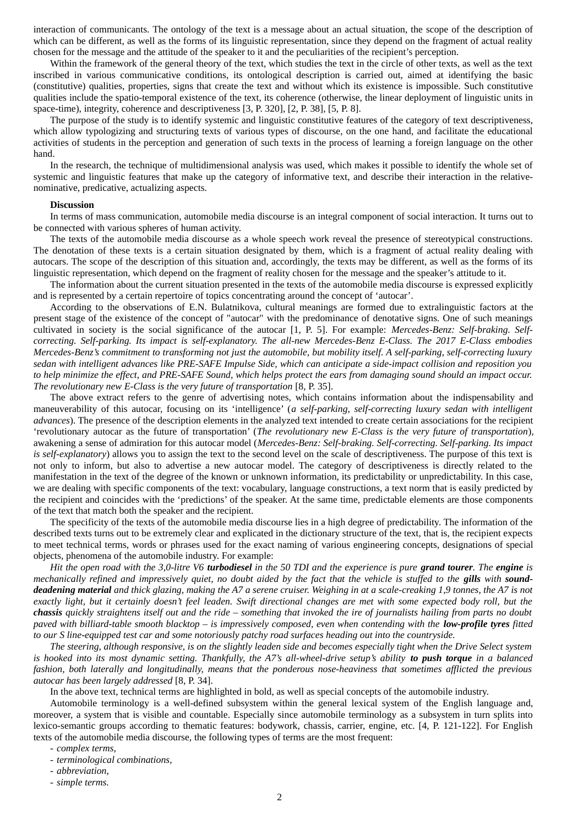interaction of communicants. The ontology of the text is a message about an actual situation, the scope of the description of which can be different, as well as the forms of its linguistic representation, since they depend on the fragment of actual reality chosen for the message and the attitude of the speaker to it and the peculiarities of the recipient's perception.

Within the framework of the general theory of the text, which studies the text in the circle of other texts, as well as the text inscribed in various communicative conditions, its ontological description is carried out, aimed at identifying the basic (constitutive) qualities, properties, signs that create the text and without which its existence is impossible. Such constitutive qualities include the spatio-temporal existence of the text, its coherence (otherwise, the linear deployment of linguistic units in space-time), integrity, coherence and descriptiveness [3, P. 320], [2, P. 38], [5, P. 8].

The purpose of the study is to identify systemic and linguistic constitutive features of the category of text descriptiveness, which allow typologizing and structuring texts of various types of discourse, on the one hand, and facilitate the educational activities of students in the perception and generation of such texts in the process of learning a foreign language on the other hand.

In the research, the technique of multidimensional analysis was used, which makes it possible to identify the whole set of systemic and linguistic features that make up the category of informative text, and describe their interaction in the relativenominative, predicative, actualizing aspects.

#### **Discussion**

In terms of mass communication, automobile media discourse is an integral component of social interaction. It turns out to be connected with various spheres of human activity.

The texts of the automobile media discourse as a whole speech work reveal the presence of stereotypical constructions. The denotation of these texts is a certain situation designated by them, which is a fragment of actual reality dealing with autocars. The scope of the description of this situation and, accordingly, the texts may be different, as well as the forms of its linguistic representation, which depend on the fragment of reality chosen for the message and the speaker's attitude to it.

The information about the current situation presented in the texts of the automobile media discourse is expressed explicitly and is represented by a certain repertoire of topics concentrating around the concept of 'autocar'.

According to the observations of E.N. Bulatnikova, cultural meanings are formed due to extralinguistic factors at the present stage of the existence of the concept of "autocar" with the predominance of denotative signs. One of such meanings cultivated in society is the social significance of the autocar [1, P. 5]. For example: *Mercedes-Benz: Self-braking. Selfcorrecting. Self-parking. Its impact is self-explanatory. The all-new Mercedes-Benz E-Class. The 2017 E-Class embodies Mercedes-Benz's commitment to transforming not just the automobile, but mobility itself. A self-parking, self-correcting luxury sedan with intelligent advances like PRE-SAFE Impulse Side, which can anticipate a side-impact collision and reposition you to help minimize the effect, and PRE-SAFE Sound, which helps protect the ears from damaging sound should an impact occur. The revolutionary new E-Class is the very future of transportation* [8, P. 35].

The above extract refers to the genre of advertising notes, which contains information about the indispensability and maneuverability of this autocar, focusing on its 'intelligence' (*a self-parking, self-correcting luxury sedan with intelligent advances*). The presence of the description elements in the analyzed text intended to create certain associations for the recipient 'revolutionary autocar as the future of transportation' (*The revolutionary new E-Class is the very future of transportation*), awakening a sense of admiration for this autocar model (*Mercedes-Benz: Self-braking. Self-correcting. Self-parking. Its impact is self-explanatory*) allows you to assign the text to the second level on the scale of descriptiveness. The purpose of this text is not only to inform, but also to advertise a new autocar model. The category of descriptiveness is directly related to the manifestation in the text of the degree of the known or unknown information, its predictability or unpredictability. In this case, we are dealing with specific components of the text: vocabulary, language constructions, a text norm that is easily predicted by the recipient and coincides with the 'predictions' of the speaker. At the same time, predictable elements are those components of the text that match both the speaker and the recipient.

The specificity of the texts of the automobile media discourse lies in a high degree of predictability. The information of the described texts turns out to be extremely clear and explicated in the dictionary structure of the text, that is, the recipient expects to meet technical terms, words or phrases used for the exact naming of various engineering concepts, designations of special objects, phenomena of the automobile industry. For example:

*Hit the open road with the 3,0-litre V6 turbodiesel in the 50 TDI and the experience is pure grand tourer. The engine is mechanically refined and impressively quiet, no doubt aided by the fact that the vehicle is stuffed to the gills with sounddeadening material and thick glazing, making the A7 a serene cruiser. Weighing in at a scale-creaking 1,9 tonnes, the A7 is not exactly light, but it certainly doesn't feel leaden. Swift directional changes are met with some expected body roll, but the chassis quickly straightens itself out and the ride – something that invoked the ire of journalists hailing from parts no doubt paved with billiard-table smooth blacktop – is impressively composed, even when contending with the low-profile tyres fitted to our S line-equipped test car and some notoriously patchy road surfaces heading out into the countryside.*

*The steering, although responsive, is on the slightly leaden side and becomes especially tight when the Drive Select system is hooked into its most dynamic setting. Thankfully, the A7's all-wheel-drive setup's ability to push torque in a balanced fashion, both laterally and longitudinally, means that the ponderous nose-heaviness that sometimes afflicted the previous autocar has been largely addressed* [8, P. 34].

In the above text, technical terms are highlighted in bold, as well as special concepts of the automobile industry.

Automobile terminology is a well-defined subsystem within the general lexical system of the English language and, moreover, a system that is visible and countable. Especially since automobile terminology as a subsystem in turn splits into lexico-semantic groups according to thematic features: bodywork, chassis, carrier, engine, etc. [4, P. 121-122]. For English texts of the automobile media discourse, the following types of terms are the most frequent:

*- complex terms,*

- *- terminological combinations,*
- *- abbreviation,*
- *- simple terms.*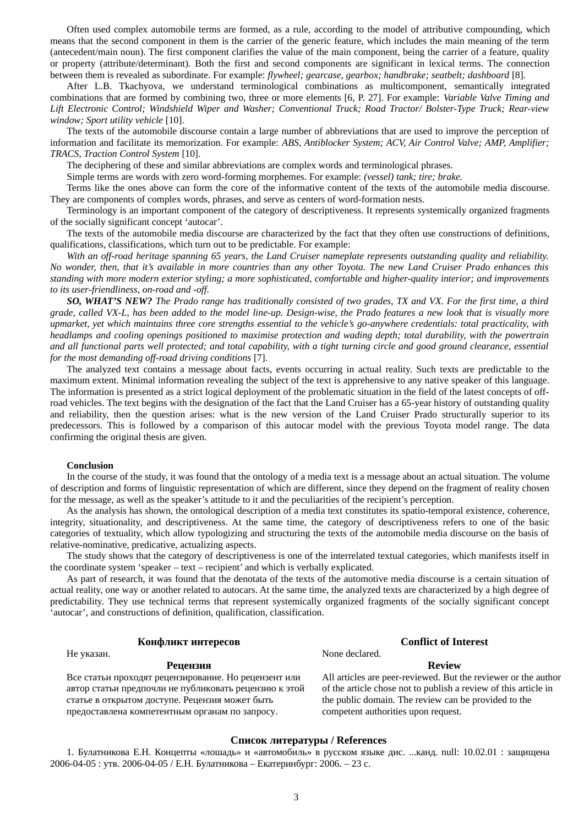Often used complex automobile terms are formed, as a rule, according to the model of attributive compounding, which means that the second component in them is the carrier of the generic feature, which includes the main meaning of the term (antecedent/main noun). The first component clarifies the value of the main component, being the carrier of a feature, quality or property (attribute/determinant). Both the first and second components are significant in lexical terms. The connection between them is revealed as subordinate. For example: *flywheel; gearcase, gearbox; handbrake; seatbelt; dashboard* [8].

After L.B. Tkachyova, we understand terminological combinations as multicomponent, semantically integrated combinations that are formed by combining two, three or more elements [6, P. 27]. For example: *Variable Valve Timing and Lift Electronic Control; Windshield Wiper and Washer; Conventional Truck; Road Tractor/ Bolster-Type Truck; Rear-view window; Sport utility vehicle* [10].

The texts of the automobile discourse contain a large number of abbreviations that are used to improve the perception of information and facilitate its memorization. For example: *ABS, Antiblocker System; ACV, Air Control Valve; AMP, Amplifier; TRACS, Traction Control System* [10].

The deciphering of these and similar abbreviations are complex words and terminological phrases.

Simple terms are words with zero word-forming morphemes. For example: *(vessel) tank; tire; brake.*

Terms like the ones above can form the core of the informative content of the texts of the automobile media discourse. They are components of complex words, phrases, and serve as centers of word-formation nests.

Terminology is an important component of the category of descriptiveness. It represents systemically organized fragments of the socially significant concept 'autocar'.

The texts of the automobile media discourse are characterized by the fact that they often use constructions of definitions, qualifications, classifications, which turn out to be predictable. For example:

*With an off-road heritage spanning 65 years, the Land Cruiser nameplate represents outstanding quality and reliability. No wonder, then, that it's available in more countries than any other Toyota. The new Land Cruiser Prado enhances this standing with more modern exterior styling; a more sophisticated, comfortable and higher-quality interior; and improvements to its user-friendliness, on-road and -off.*

*SO, WHAT'S NEW? The Prado range has traditionally consisted of two grades, TX and VX. For the first time, a third grade, called VX-L, has been added to the model line-up. Design-wise, the Prado features a new look that is visually more upmarket, yet which maintains three core strengths essential to the vehicle's go-anywhere credentials: total practicality, with headlamps and cooling openings positioned to maximise protection and wading depth; total durability, with the powertrain and all functional parts well protected; and total capability, with a tight turning circle and good ground clearance, essential for the most demanding off-road driving conditions* [7].

The analyzed text contains a message about facts, events occurring in actual reality. Such texts are predictable to the maximum extent. Minimal information revealing the subject of the text is apprehensive to any native speaker of this language. The information is presented as a strict logical deployment of the problematic situation in the field of the latest concepts of offroad vehicles. The text begins with the designation of the fact that the Land Cruiser has a 65-year history of outstanding quality and reliability, then the question arises: what is the new version of the Land Cruiser Prado structurally superior to its predecessors. This is followed by a comparison of this autocar model with the previous Toyota model range. The data confirming the original thesis are given.

### **Conclusion**

In the course of the study, it was found that the ontology of a media text is a message about an actual situation. The volume of description and forms of linguistic representation of which are different, since they depend on the fragment of reality chosen for the message, as well as the speaker's attitude to it and the peculiarities of the recipient's perception.

As the analysis has shown, the ontological description of a media text constitutes its spatio-temporal existence, coherence, integrity, situationality, and descriptiveness. At the same time, the category of descriptiveness refers to one of the basic categories of textuality, which allow typologizing and structuring the texts of the automobile media discourse on the basis of relative-nominative, predicative, actualizing aspects.

The study shows that the category of descriptiveness is one of the interrelated textual categories, which manifests itself in the coordinate system 'speaker – text – recipient' and which is verbally explicated.

As part of research, it was found that the denotata of the texts of the automotive media discourse is a certain situation of actual reality, one way or another related to autocars. At the same time, the analyzed texts are characterized by a high degree of predictability. They use technical terms that represent systemically organized fragments of the socially significant concept 'autocar', and constructions of definition, qualification, classification.

## **Конфликт интересов Conflict of Interest**

#### **Рецензия Review**

Все статьи проходят рецензирование. Но рецензент или автор статьи предпочли не публиковать рецензию к этой статье в открытом доступе. Рецензия может быть предоставлена компетентным органам по запросу.

# Не указан. None declared.

All articles are peer-reviewed. But the reviewer or the author of the article chose not to publish a review of this article in the public domain. The review can be provided to the competent authorities upon request.

#### **Список литературы / References**

1. Булатникова Е.Н. Концепты «лошадь» и «автомобиль» в русском языке дис. ...канд. null: 10.02.01 : защищена 2006-04-05 : утв. 2006-04-05 / Е.Н. Булатникова – Екатеринбург: 2006. – 23 c.